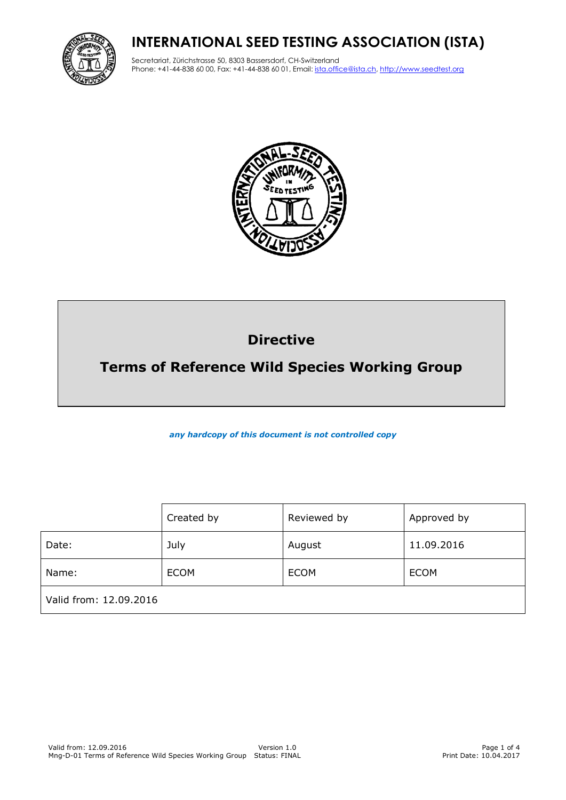# **INTERNATIONAL SEED TESTING ASSOCIATION (ISTA)**



Secretariat, Zürichstrasse 50, 8303 Bassersdorf, CH-Switzerland Phone: +41-44-838 60 00, Fax: +41-44-838 60 01, Email: ista.office@ista.ch, http://www.seedtest.org



# **Directive**

# **Terms of Reference Wild Species Working Group**

*any hardcopy of this document is not controlled copy*

|                        | Created by  | Reviewed by | Approved by |
|------------------------|-------------|-------------|-------------|
| Date:                  | July        | August      | 11.09.2016  |
| Name:                  | <b>ECOM</b> | <b>ECOM</b> | <b>ECOM</b> |
| Valid from: 12.09.2016 |             |             |             |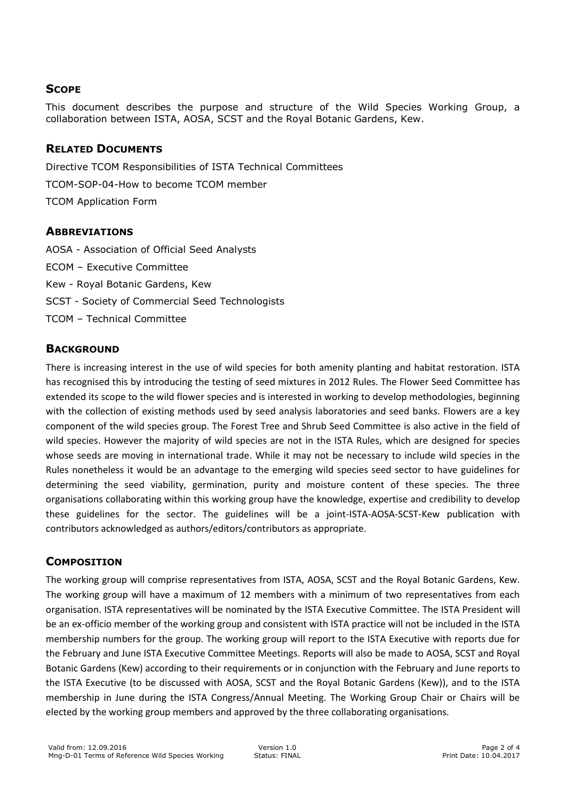### **SCOPE**

This document describes the purpose and structure of the Wild Species Working Group, a collaboration between ISTA, AOSA, SCST and the Royal Botanic Gardens, Kew.

#### **RELATED DOCUMENTS**

Directive TCOM Responsibilities of ISTA Technical Committees TCOM-SOP-04-How to become TCOM member TCOM Application Form

#### **ABBREVIATIONS**

AOSA - Association of Official Seed Analysts ECOM – Executive Committee Kew - Royal Botanic Gardens, Kew SCST - Society of Commercial Seed Technologists TCOM – Technical Committee

#### **BACKGROUND**

There is increasing interest in the use of wild species for both amenity planting and habitat restoration. ISTA has recognised this by introducing the testing of seed mixtures in 2012 Rules. The Flower Seed Committee has extended its scope to the wild flower species and is interested in working to develop methodologies, beginning with the collection of existing methods used by seed analysis laboratories and seed banks. Flowers are a key component of the wild species group. The Forest Tree and Shrub Seed Committee is also active in the field of wild species. However the majority of wild species are not in the ISTA Rules, which are designed for species whose seeds are moving in international trade. While it may not be necessary to include wild species in the Rules nonetheless it would be an advantage to the emerging wild species seed sector to have guidelines for determining the seed viability, germination, purity and moisture content of these species. The three organisations collaborating within this working group have the knowledge, expertise and credibility to develop these guidelines for the sector. The guidelines will be a joint-ISTA-AOSA-SCST-Kew publication with contributors acknowledged as authors/editors/contributors as appropriate.

## **COMPOSITION**

The working group will comprise representatives from ISTA, AOSA, SCST and the Royal Botanic Gardens, Kew. The working group will have a maximum of 12 members with a minimum of two representatives from each organisation. ISTA representatives will be nominated by the ISTA Executive Committee. The ISTA President will be an ex-officio member of the working group and consistent with ISTA practice will not be included in the ISTA membership numbers for the group. The working group will report to the ISTA Executive with reports due for the February and June ISTA Executive Committee Meetings. Reports will also be made to AOSA, SCST and Royal Botanic Gardens (Kew) according to their requirements or in conjunction with the February and June reports to the ISTA Executive (to be discussed with AOSA, SCST and the Royal Botanic Gardens (Kew)), and to the ISTA membership in June during the ISTA Congress/Annual Meeting. The Working Group Chair or Chairs will be elected by the working group members and approved by the three collaborating organisations.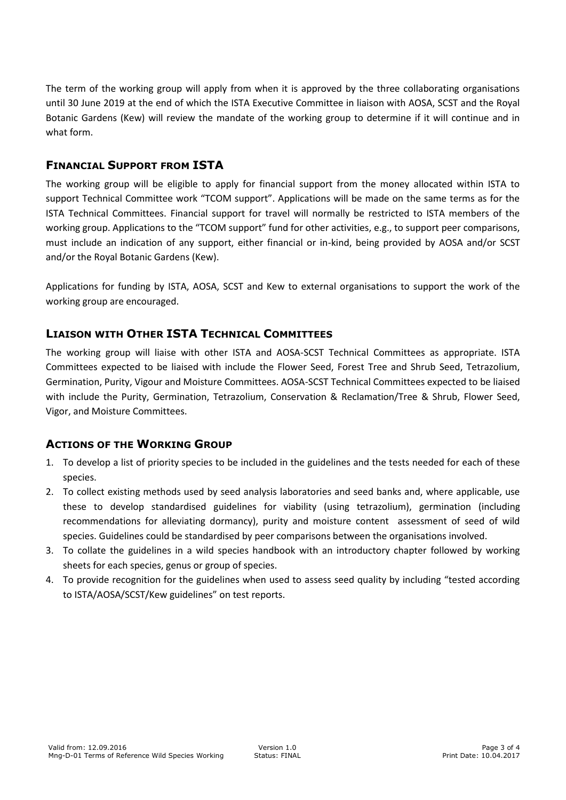The term of the working group will apply from when it is approved by the three collaborating organisations until 30 June 2019 at the end of which the ISTA Executive Committee in liaison with AOSA, SCST and the Royal Botanic Gardens (Kew) will review the mandate of the working group to determine if it will continue and in what form.

### **FINANCIAL SUPPORT FROM ISTA**

The working group will be eligible to apply for financial support from the money allocated within ISTA to support Technical Committee work "TCOM support". Applications will be made on the same terms as for the ISTA Technical Committees. Financial support for travel will normally be restricted to ISTA members of the working group. Applications to the "TCOM support" fund for other activities, e.g., to support peer comparisons, must include an indication of any support, either financial or in-kind, being provided by AOSA and/or SCST and/or the Royal Botanic Gardens (Kew).

Applications for funding by ISTA, AOSA, SCST and Kew to external organisations to support the work of the working group are encouraged.

### **LIAISON WITH OTHER ISTA TECHNICAL COMMITTEES**

The working group will liaise with other ISTA and AOSA-SCST Technical Committees as appropriate. ISTA Committees expected to be liaised with include the Flower Seed, Forest Tree and Shrub Seed, Tetrazolium, Germination, Purity, Vigour and Moisture Committees. AOSA-SCST Technical Committees expected to be liaised with include the Purity, Germination, Tetrazolium, Conservation & Reclamation/Tree & Shrub, Flower Seed, Vigor, and Moisture Committees.

#### **ACTIONS OF THE WORKING GROUP**

- 1. To develop a list of priority species to be included in the guidelines and the tests needed for each of these species.
- 2. To collect existing methods used by seed analysis laboratories and seed banks and, where applicable, use these to develop standardised guidelines for viability (using tetrazolium), germination (including recommendations for alleviating dormancy), purity and moisture content assessment of seed of wild species. Guidelines could be standardised by peer comparisons between the organisations involved.
- 3. To collate the guidelines in a wild species handbook with an introductory chapter followed by working sheets for each species, genus or group of species.
- 4. To provide recognition for the guidelines when used to assess seed quality by including "tested according to ISTA/AOSA/SCST/Kew guidelines" on test reports.